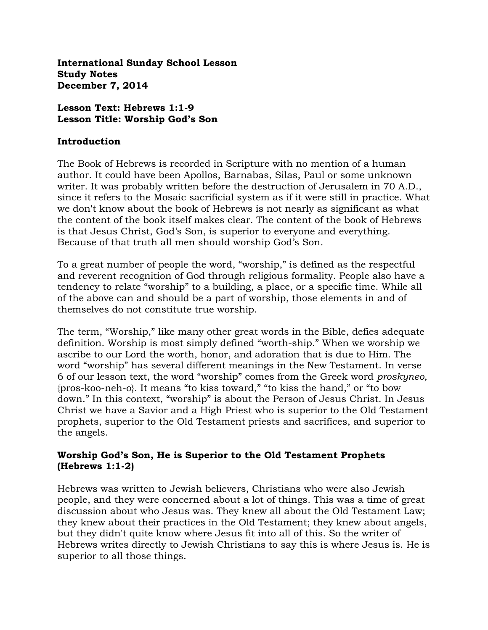**International Sunday School Lesson Study Notes December 7, 2014**

### **Lesson Text: Hebrews 1:1-9 Lesson Title: Worship God's Son**

#### **Introduction**

The Book of Hebrews is recorded in Scripture with no mention of a human author. It could have been Apollos, Barnabas, Silas, Paul or some unknown writer. It was probably written before the destruction of Jerusalem in 70 A.D., since it refers to the Mosaic sacrificial system as if it were still in practice. What we don't know about the book of Hebrews is not nearly as significant as what the content of the book itself makes clear. The content of the book of Hebrews is that Jesus Christ, God's Son, is superior to everyone and everything. Because of that truth all men should worship God"s Son.

To a great number of people the word, "worship," is defined as the respectful and reverent recognition of God through religious formality. People also have a tendency to relate "worship" to a building, a place, or a specific time. While all of the above can and should be a part of worship, those elements in and of themselves do not constitute true worship.

The term, "Worship," like many other great words in the Bible, defies adequate definition. Worship is most simply defined "worth-ship." When we worship we ascribe to our Lord the worth, honor, and adoration that is due to Him. The word "worship" has several different meanings in the New Testament. In verse 6 of our lesson text, the word "worship" comes from the Greek word *proskyneo,*  {pros-koo-neh-o}. It means "to kiss toward," "to kiss the hand," or "to bow down." In this context, "worship" is about the Person of Jesus Christ. In Jesus Christ we have a Savior and a High Priest who is superior to the Old Testament prophets, superior to the Old Testament priests and sacrifices, and superior to the angels.

## **Worship God's Son, He is Superior to the Old Testament Prophets (Hebrews 1:1-2)**

Hebrews was written to Jewish believers, Christians who were also Jewish people, and they were concerned about a lot of things. This was a time of great discussion about who Jesus was. They knew all about the Old Testament Law; they knew about their practices in the Old Testament; they knew about angels, but they didn't quite know where Jesus fit into all of this. So the writer of Hebrews writes directly to Jewish Christians to say this is where Jesus is. He is superior to all those things.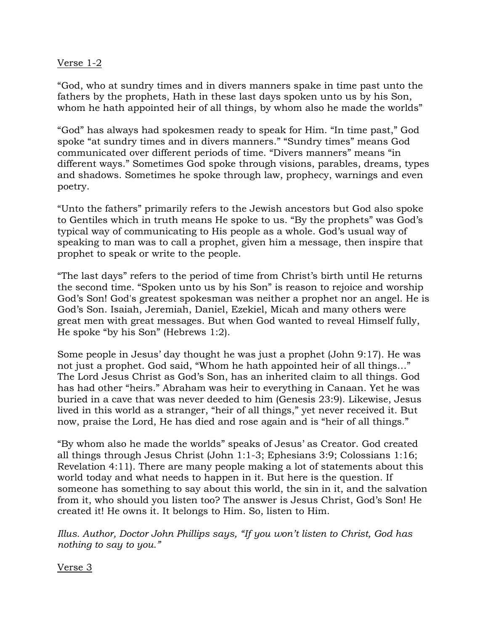### Verse 1-2

"God, who at sundry times and in divers manners spake in time past unto the fathers by the prophets, Hath in these last days spoken unto us by his Son, whom he hath appointed heir of all things, by whom also he made the worlds"

"God" has always had spokesmen ready to speak for Him. "In time past," God spoke "at sundry times and in divers manners." "Sundry times" means God communicated over different periods of time. "Divers manners" means "in different ways." Sometimes God spoke through visions, parables, dreams, types and shadows. Sometimes he spoke through law, prophecy, warnings and even poetry.

"Unto the fathers" primarily refers to the Jewish ancestors but God also spoke to Gentiles which in truth means He spoke to us. "By the prophets" was God"s typical way of communicating to His people as a whole. God"s usual way of speaking to man was to call a prophet, given him a message, then inspire that prophet to speak or write to the people.

"The last days" refers to the period of time from Christ"s birth until He returns the second time. "Spoken unto us by his Son" is reason to rejoice and worship God"s Son! God's greatest spokesman was neither a prophet nor an angel. He is God"s Son. Isaiah, Jeremiah, Daniel, Ezekiel, Micah and many others were great men with great messages. But when God wanted to reveal Himself fully, He spoke "by his Son" (Hebrews 1:2).

Some people in Jesus' day thought he was just a prophet (John 9:17). He was not just a prophet. God said, "Whom he hath appointed heir of all things…" The Lord Jesus Christ as God"s Son, has an inherited claim to all things. God has had other "heirs." Abraham was heir to everything in Canaan. Yet he was buried in a cave that was never deeded to him (Genesis 23:9). Likewise, Jesus lived in this world as a stranger, "heir of all things," yet never received it. But now, praise the Lord, He has died and rose again and is "heir of all things."

"By whom also he made the worlds" speaks of Jesus" as Creator. God created all things through Jesus Christ (John 1:1-3; Ephesians 3:9; Colossians 1:16; Revelation 4:11). There are many people making a lot of statements about this world today and what needs to happen in it. But here is the question. If someone has something to say about this world, the sin in it, and the salvation from it, who should you listen too? The answer is Jesus Christ, God's Son! He created it! He owns it. It belongs to Him. So, listen to Him.

*Illus. Author, Doctor John Phillips says, "If you won't listen to Christ, God has nothing to say to you."*

Verse 3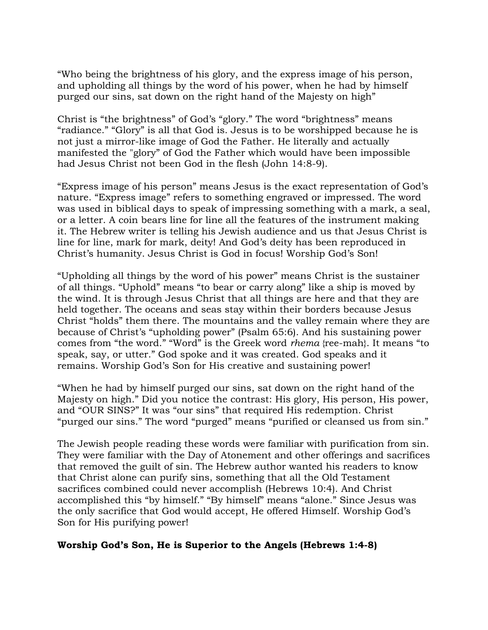"Who being the brightness of his glory, and the express image of his person, and upholding all things by the word of his power, when he had by himself purged our sins, sat down on the right hand of the Majesty on high"

Christ is "the brightness" of God's "glory." The word "brightness" means "radiance." "Glory" is all that God is. Jesus is to be worshipped because he is not just a mirror-like image of God the Father. He literally and actually manifested the "glory" of God the Father which would have been impossible had Jesus Christ not been God in the flesh (John 14:8-9).

"Express image of his person" means Jesus is the exact representation of God"s nature. "Express image" refers to something engraved or impressed. The word was used in biblical days to speak of impressing something with a mark, a seal, or a letter. A coin bears line for line all the features of the instrument making it. The Hebrew writer is telling his Jewish audience and us that Jesus Christ is line for line, mark for mark, deity! And God's deity has been reproduced in Christ"s humanity. Jesus Christ is God in focus! Worship God"s Son!

"Upholding all things by the word of his power" means Christ is the sustainer of all things. "Uphold" means "to bear or carry along" like a ship is moved by the wind. It is through Jesus Christ that all things are here and that they are held together. The oceans and seas stay within their borders because Jesus Christ "holds" them there. The mountains and the valley remain where they are because of Christ's "upholding power" (Psalm 65:6). And his sustaining power comes from "the word." "Word" is the Greek word *rhema* {ree-mah}. It means "to speak, say, or utter." God spoke and it was created. God speaks and it remains. Worship God's Son for His creative and sustaining power!

"When he had by himself purged our sins, sat down on the right hand of the Majesty on high." Did you notice the contrast: His glory, His person, His power, and "OUR SINS?" It was "our sins" that required His redemption. Christ "purged our sins." The word "purged" means "purified or cleansed us from sin."

The Jewish people reading these words were familiar with purification from sin. They were familiar with the Day of Atonement and other offerings and sacrifices that removed the guilt of sin. The Hebrew author wanted his readers to know that Christ alone can purify sins, something that all the Old Testament sacrifices combined could never accomplish (Hebrews 10:4). And Christ accomplished this "by himself." "By himself" means "alone." Since Jesus was the only sacrifice that God would accept, He offered Himself. Worship God's Son for His purifying power!

#### **Worship God's Son, He is Superior to the Angels (Hebrews 1:4-8)**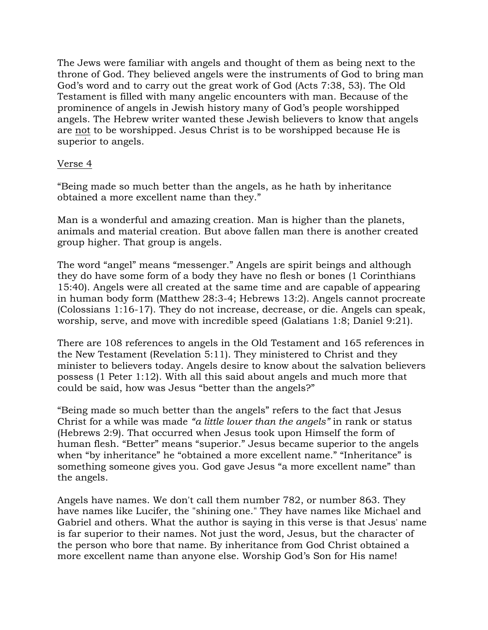The Jews were familiar with angels and thought of them as being next to the throne of God. They believed angels were the instruments of God to bring man God"s word and to carry out the great work of God (Acts 7:38, 53). The Old Testament is filled with many angelic encounters with man. Because of the prominence of angels in Jewish history many of God"s people worshipped angels. The Hebrew writer wanted these Jewish believers to know that angels are not to be worshipped. Jesus Christ is to be worshipped because He is superior to angels.

#### Verse 4

"Being made so much better than the angels, as he hath by inheritance obtained a more excellent name than they."

Man is a wonderful and amazing creation. Man is higher than the planets, animals and material creation. But above fallen man there is another created group higher. That group is angels.

The word "angel" means "messenger." Angels are spirit beings and although they do have some form of a body they have no flesh or bones (1 Corinthians 15:40). Angels were all created at the same time and are capable of appearing in human body form (Matthew 28:3-4; Hebrews 13:2). Angels cannot procreate (Colossians 1:16-17). They do not increase, decrease, or die. Angels can speak, worship, serve, and move with incredible speed (Galatians 1:8; Daniel 9:21).

There are 108 references to angels in the Old Testament and 165 references in the New Testament (Revelation 5:11). They ministered to Christ and they minister to believers today. Angels desire to know about the salvation believers possess (1 Peter 1:12). With all this said about angels and much more that could be said, how was Jesus "better than the angels?"

"Being made so much better than the angels" refers to the fact that Jesus Christ for a while was made *"a little lower than the angels"* in rank or status (Hebrews 2:9). That occurred when Jesus took upon Himself the form of human flesh. "Better" means "superior." Jesus became superior to the angels when "by inheritance" he "obtained a more excellent name." "Inheritance" is something someone gives you. God gave Jesus "a more excellent name" than the angels.

Angels have names. We don't call them number 782, or number 863. They have names like Lucifer, the "shining one." They have names like Michael and Gabriel and others. What the author is saying in this verse is that Jesus' name is far superior to their names. Not just the word, Jesus, but the character of the person who bore that name. By inheritance from God Christ obtained a more excellent name than anyone else. Worship God's Son for His name!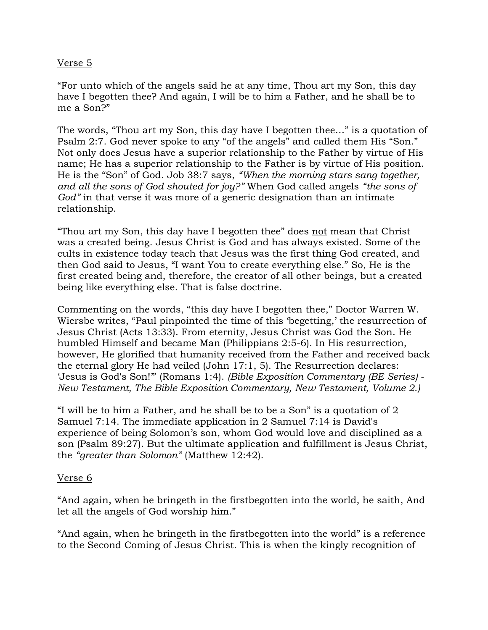## Verse 5

"For unto which of the angels said he at any time, Thou art my Son, this day have I begotten thee? And again, I will be to him a Father, and he shall be to me a Son?"

The words, "Thou art my Son, this day have I begotten thee…" is a quotation of Psalm 2:7. God never spoke to any "of the angels" and called them His "Son." Not only does Jesus have a superior relationship to the Father by virtue of His name; He has a superior relationship to the Father is by virtue of His position. He is the "Son" of God. Job 38:7 says, *"When the morning stars sang together, and all the sons of God shouted for joy?"* When God called angels *"the sons of God"* in that verse it was more of a generic designation than an intimate relationship.

"Thou art my Son, this day have I begotten thee" does not mean that Christ was a created being. Jesus Christ is God and has always existed. Some of the cults in existence today teach that Jesus was the first thing God created, and then God said to Jesus, "I want You to create everything else." So, He is the first created being and, therefore, the creator of all other beings, but a created being like everything else. That is false doctrine.

Commenting on the words, "this day have I begotten thee," Doctor Warren W. Wiersbe writes, "Paul pinpointed the time of this "begetting," the resurrection of Jesus Christ (Acts 13:33). From eternity, Jesus Christ was God the Son. He humbled Himself and became Man (Philippians 2:5-6). In His resurrection, however, He glorified that humanity received from the Father and received back the eternal glory He had veiled (John 17:1, 5). The Resurrection declares: "Jesus is God's Son!"" (Romans 1:4). *(Bible Exposition Commentary (BE Series) - New Testament, The Bible Exposition Commentary, New Testament, Volume 2.)*

"I will be to him a Father, and he shall be to be a Son" is a quotation of 2 Samuel 7:14. The immediate application in 2 Samuel 7:14 is David's experience of being Solomon's son, whom God would love and disciplined as a son (Psalm 89:27). But the ultimate application and fulfillment is Jesus Christ, the *"greater than Solomon"* (Matthew 12:42).

#### Verse 6

"And again, when he bringeth in the firstbegotten into the world, he saith, And let all the angels of God worship him."

"And again, when he bringeth in the firstbegotten into the world" is a reference to the Second Coming of Jesus Christ. This is when the kingly recognition of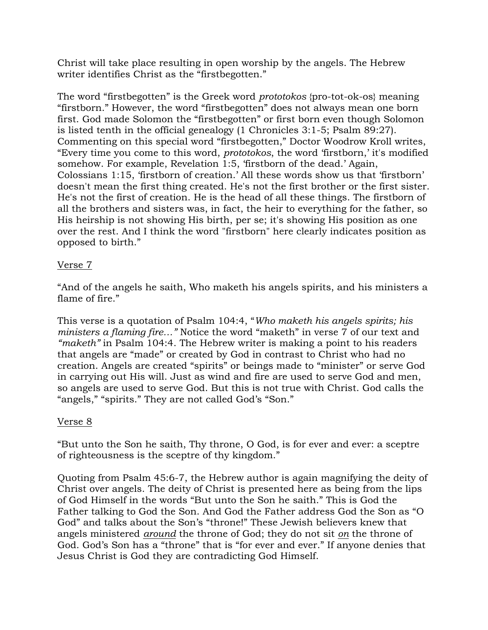Christ will take place resulting in open worship by the angels. The Hebrew writer identifies Christ as the "firstbegotten."

The word "firstbegotten" is the Greek word *prototokos* {pro-tot-ok-os} meaning "firstborn." However, the word "firstbegotten" does not always mean one born first. God made Solomon the "firstbegotten" or first born even though Solomon is listed tenth in the official genealogy (1 Chronicles 3:1-5; Psalm 89:27). Commenting on this special word "firstbegotten," Doctor Woodrow Kroll writes, "Every time you come to this word, *prototokos*, the word "firstborn," it's modified somehow. For example, Revelation 1:5, 'firstborn of the dead.' Again, Colossians 1:15, "firstborn of creation." All these words show us that "firstborn" doesn't mean the first thing created. He's not the first brother or the first sister. He's not the first of creation. He is the head of all these things. The firstborn of all the brothers and sisters was, in fact, the heir to everything for the father, so His heirship is not showing His birth, per se; it's showing His position as one over the rest. And I think the word "firstborn" here clearly indicates position as opposed to birth."

# Verse 7

"And of the angels he saith, Who maketh his angels spirits, and his ministers a flame of fire."

This verse is a quotation of Psalm 104:4, "*Who maketh his angels spirits; his ministers a flaming fire…"* Notice the word "maketh" in verse 7 of our text and *"maketh"* in Psalm 104:4. The Hebrew writer is making a point to his readers that angels are "made" or created by God in contrast to Christ who had no creation. Angels are created "spirits" or beings made to "minister" or serve God in carrying out His will. Just as wind and fire are used to serve God and men, so angels are used to serve God. But this is not true with Christ. God calls the "angels," "spirits." They are not called God's "Son."

# Verse 8

"But unto the Son he saith, Thy throne, O God, is for ever and ever: a sceptre of righteousness is the sceptre of thy kingdom."

Quoting from Psalm 45:6-7, the Hebrew author is again magnifying the deity of Christ over angels. The deity of Christ is presented here as being from the lips of God Himself in the words "But unto the Son he saith." This is God the Father talking to God the Son. And God the Father address God the Son as "O God" and talks about the Son's "throne!" These Jewish believers knew that angels ministered *around* the throne of God; they do not sit *on* the throne of God. God's Son has a "throne" that is "for ever and ever." If anyone denies that Jesus Christ is God they are contradicting God Himself.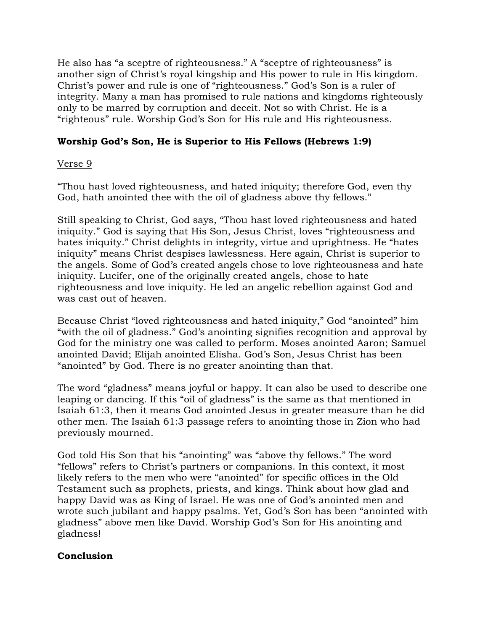He also has "a sceptre of righteousness." A "sceptre of righteousness" is another sign of Christ's royal kingship and His power to rule in His kingdom. Christ's power and rule is one of "righteousness." God's Son is a ruler of integrity. Many a man has promised to rule nations and kingdoms righteously only to be marred by corruption and deceit. Not so with Christ. He is a "righteous" rule. Worship God"s Son for His rule and His righteousness.

# **Worship God's Son, He is Superior to His Fellows (Hebrews 1:9)**

# Verse 9

"Thou hast loved righteousness, and hated iniquity; therefore God, even thy God, hath anointed thee with the oil of gladness above thy fellows."

Still speaking to Christ, God says, "Thou hast loved righteousness and hated iniquity." God is saying that His Son, Jesus Christ, loves "righteousness and hates iniquity." Christ delights in integrity, virtue and uprightness. He "hates iniquity" means Christ despises lawlessness. Here again, Christ is superior to the angels. Some of God"s created angels chose to love righteousness and hate iniquity. Lucifer, one of the originally created angels, chose to hate righteousness and love iniquity. He led an angelic rebellion against God and was cast out of heaven.

Because Christ "loved righteousness and hated iniquity," God "anointed" him "with the oil of gladness." God"s anointing signifies recognition and approval by God for the ministry one was called to perform. Moses anointed Aaron; Samuel anointed David; Elijah anointed Elisha. God"s Son, Jesus Christ has been "anointed" by God. There is no greater anointing than that.

The word "gladness" means joyful or happy. It can also be used to describe one leaping or dancing. If this "oil of gladness" is the same as that mentioned in Isaiah 61:3, then it means God anointed Jesus in greater measure than he did other men. The Isaiah 61:3 passage refers to anointing those in Zion who had previously mourned.

God told His Son that his "anointing" was "above thy fellows." The word "fellows" refers to Christ"s partners or companions. In this context, it most likely refers to the men who were "anointed" for specific offices in the Old Testament such as prophets, priests, and kings. Think about how glad and happy David was as King of Israel. He was one of God's anointed men and wrote such jubilant and happy psalms. Yet, God's Son has been "anointed with gladness" above men like David. Worship God"s Son for His anointing and gladness!

# **Conclusion**